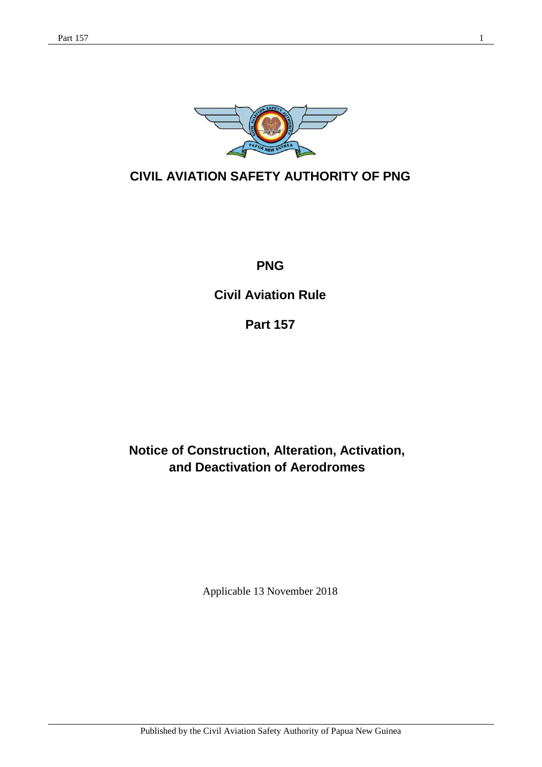

## **CIVIL AVIATION SAFETY AUTHORITY OF PNG**

**PNG**

**Civil Aviation Rule** 

**Part 157**

**Notice of Construction, Alteration, Activation, and Deactivation of Aerodromes**

Applicable 13 November 2018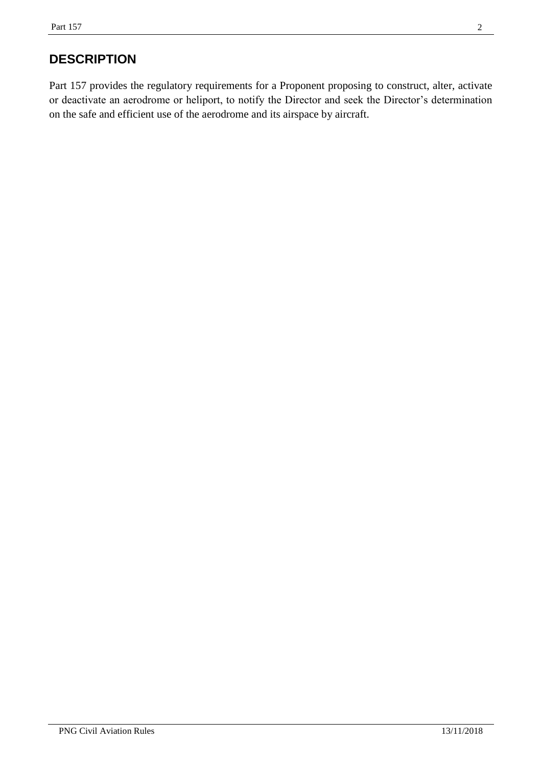## **DESCRIPTION**

Part 157 provides the regulatory requirements for a Proponent proposing to construct, alter, activate or deactivate an aerodrome or heliport, to notify the Director and seek the Director's determination on the safe and efficient use of the aerodrome and its airspace by aircraft.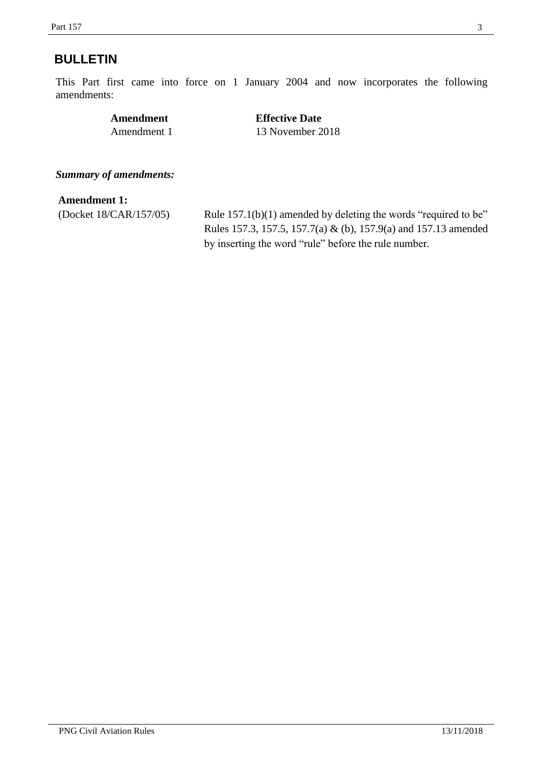### <span id="page-2-0"></span>**BULLETIN**

This Part first came into force on 1 January 2004 and now incorporates the following amendments:

| Amendment   | <b>Effective Date</b> |
|-------------|-----------------------|
| Amendment 1 | 13 November 2018      |

*Summary of amendments:*

#### **Amendment 1:**

(Docket 18/CAR/157/05) Rule 157.1(b)(1) amended by deleting the words "required to be" Rules 157.3, 157.5, 157.7(a) & (b), 157.9(a) and 157.13 amended by inserting the word "rule" before the rule number.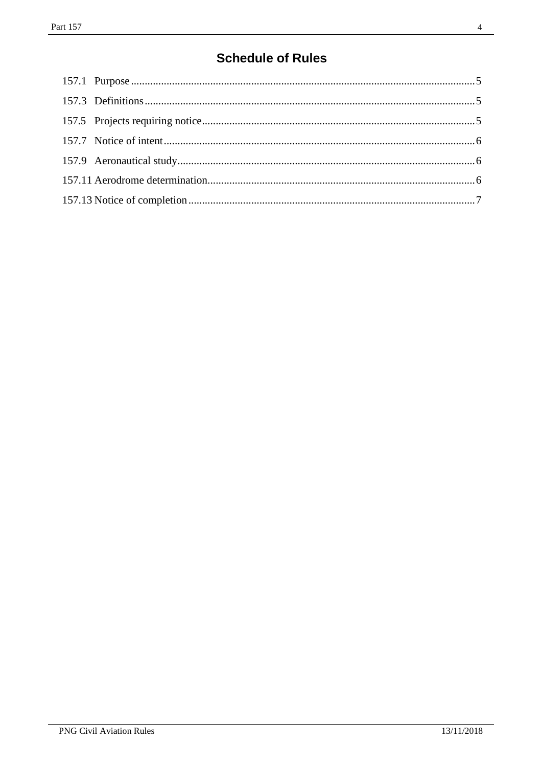# **Schedule of Rules**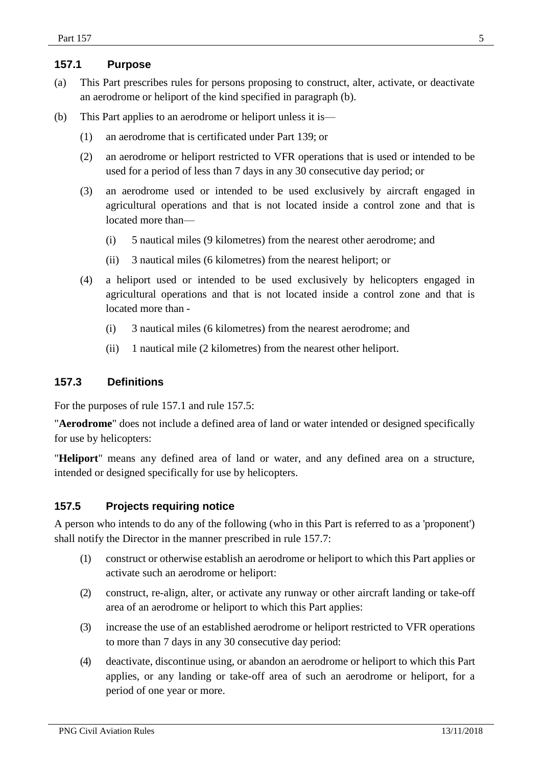#### **157.1 Purpose**

- (a) This Part prescribes rules for persons proposing to construct, alter, activate, or deactivate an aerodrome or heliport of the kind specified in paragraph (b).
- (b) This Part applies to an aerodrome or heliport unless it is—
	- (1) an aerodrome that is certificated under Part 139; or
	- (2) an aerodrome or heliport restricted to VFR operations that is used or intended to be used for a period of less than 7 days in any 30 consecutive day period; or
	- (3) an aerodrome used or intended to be used exclusively by aircraft engaged in agricultural operations and that is not located inside a control zone and that is located more than—
		- (i) 5 nautical miles (9 kilometres) from the nearest other aerodrome; and
		- (ii) 3 nautical miles (6 kilometres) from the nearest heliport; or
	- (4) a heliport used or intended to be used exclusively by helicopters engaged in agricultural operations and that is not located inside a control zone and that is located more than -
		- (i) 3 nautical miles (6 kilometres) from the nearest aerodrome; and
		- (ii) 1 nautical mile (2 kilometres) from the nearest other heliport.

#### <span id="page-4-0"></span>**157.3 Definitions**

For the purposes of rule 157.1 and rule 157.5:

"**Aerodrome**" does not include a defined area of land or water intended or designed specifically for use by helicopters:

"**Heliport**" means any defined area of land or water, and any defined area on a structure, intended or designed specifically for use by helicopters.

#### <span id="page-4-1"></span>**157.5 Projects requiring notice**

A person who intends to do any of the following (who in this Part is referred to as a 'proponent') shall notify the Director in the manner prescribed in rule 157.7:

- (1) construct or otherwise establish an aerodrome or heliport to which this Part applies or activate such an aerodrome or heliport:
- (2) construct, re-align, alter, or activate any runway or other aircraft landing or take-off area of an aerodrome or heliport to which this Part applies:
- (3) increase the use of an established aerodrome or heliport restricted to VFR operations to more than 7 days in any 30 consecutive day period:
- (4) deactivate, discontinue using, or abandon an aerodrome or heliport to which this Part applies, or any landing or take-off area of such an aerodrome or heliport, for a period of one year or more.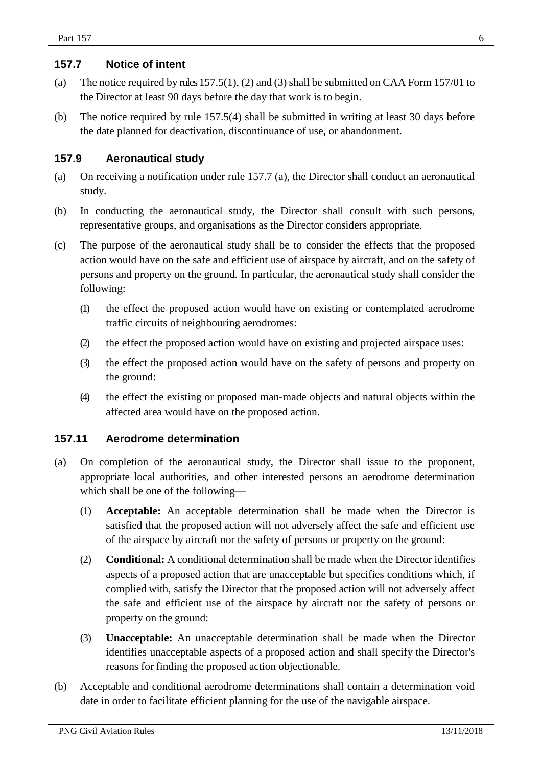#### <span id="page-5-0"></span>**157.7 Notice of intent**

- (a) The notice required by rules  $157.5(1)$ , (2) and (3) shall be submitted on CAA Form 157/01 to the Director at least 90 days before the day that work is to begin.
- (b) The notice required by rule 157.5(4) shall be submitted in writing at least 30 days before the date planned for deactivation, discontinuance of use, or abandonment.

#### <span id="page-5-1"></span>**157.9 Aeronautical study**

- (a) On receiving a notification under rule 157.7 (a), the Director shall conduct an aeronautical study.
- (b) In conducting the aeronautical study, the Director shall consult with such persons, representative groups, and organisations as the Director considers appropriate.
- (c) The purpose of the aeronautical study shall be to consider the effects that the proposed action would have on the safe and efficient use of airspace by aircraft, and on the safety of persons and property on the ground. In particular, the aeronautical study shall consider the following:
	- (1) the effect the proposed action would have on existing or contemplated aerodrome traffic circuits of neighbouring aerodromes:
	- (2) the effect the proposed action would have on existing and projected airspace uses:
	- (3) the effect the proposed action would have on the safety of persons and property on the ground:
	- (4) the effect the existing or proposed man-made objects and natural objects within the affected area would have on the proposed action.

#### <span id="page-5-2"></span>**157.11 Aerodrome determination**

- (a) On completion of the aeronautical study, the Director shall issue to the proponent, appropriate local authorities, and other interested persons an aerodrome determination which shall be one of the following—
	- (1) **Acceptable:** An acceptable determination shall be made when the Director is satisfied that the proposed action will not adversely affect the safe and efficient use of the airspace by aircraft nor the safety of persons or property on the ground:
	- (2) **Conditional:** A conditional determination shall be made when the Director identifies aspects of a proposed action that are unacceptable but specifies conditions which, if complied with, satisfy the Director that the proposed action will not adversely affect the safe and efficient use of the airspace by aircraft nor the safety of persons or property on the ground:
	- (3) **Unacceptable:** An unacceptable determination shall be made when the Director identifies unacceptable aspects of a proposed action and shall specify the Director's reasons for finding the proposed action objectionable.
- (b) Acceptable and conditional aerodrome determinations shall contain a determination void date in order to facilitate efficient planning for the use of the navigable airspace.